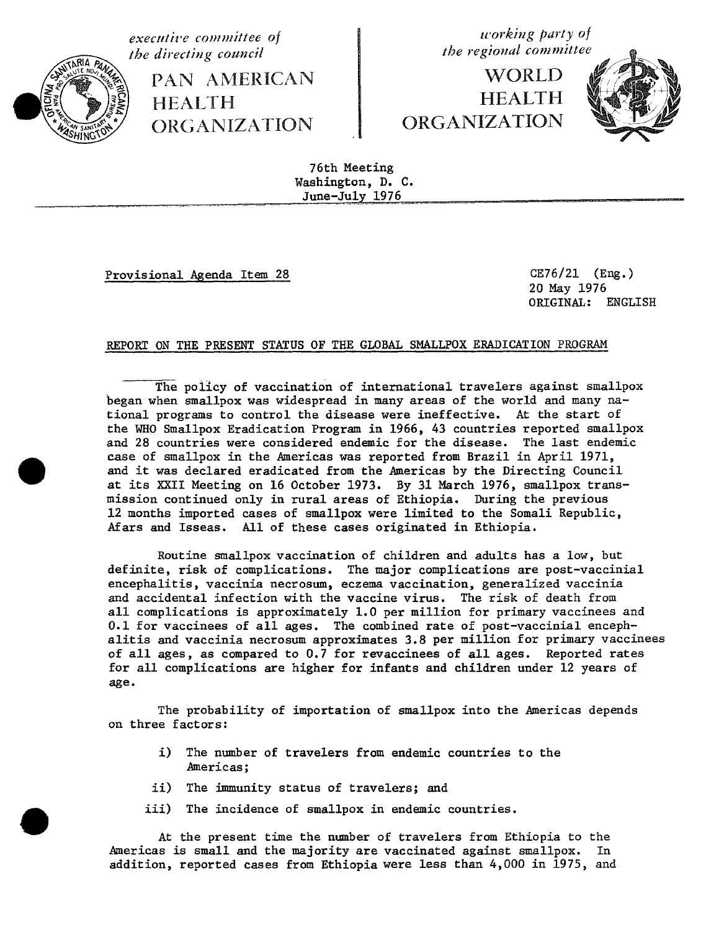**executive** committee of **of** *u* **u u** *u u u u u u u u u u u u u u u u u u u u u u u u u u u*



**PAN AMERICAN the alternative in the executive in the matrix of the matrix**  $\mathbb{X} \leqslant \mathbb{X}$ ORGANIZATION CRGANIZATION ORGANIZATIO**N** ORGANIZATION

**WORLD** 



76th Meeting Washington, D. C. June-July 1976

Provisional Agenda Item 28 CE76/21 (Eng.)

20 May 1976 ORIGINAL: ENGLISH

## REPORT ON THE PRESENT STATUS OF THE GLOBAL SMALLPOX ERADICATION PROGRAM

The policy of vaccination of international travelers against smallpox began when smallpox was widespread in many areas of the world and many national programs to control the disease were ineffective. At the start of the WHO Smallpox Eradication Program in 1966, 43 countries reported smallpox and 28 countries were considered endemic for the disease. The last endemic case of smallpox in the **A**mericas was reported from Brazil in April 1971, and it was declared eradicated from the Americas by the Directing Council at its XXII Meeting on 16 October 1973. By 31 March 1976, smallpox transmission continued only in rural areas of Ethiopia. During the previous 12 months imported cases of smallpox were limited **t**o **t**he Somali Republic, Afars and Isseas. Ail of these cases originated in E**t**hiopia.

Routine smallpox vacci**n**ation of children and adults has a low, but definite, risk of complications. The major complications are post-vaccinial encephalitis, vaccinia necrosum, eczema vaccination, generalized vaccinia and accidental infection with the vaccine virus. The risk of death from all complications is approxima**t**ely 1.0 per million for primary vaccinees and 0.1 for vaccinees of all ages. The combined rate of post-vaccinial encephalitis and vaccinia necrosum approximates 3.8 per million for primary vaccinees of all ages, as compared to 0.7 for revaccinees of all ages. Reported rates for all complications are higher for infants and children under 12 years of age.

The probability of impor**t**a**t**ion of smallpox into the Americas depends on three factors:

- i) The number of travelers from endemic countries to the Americas;
- ii) The immunity status of travelers; and
- iii) The incidence of smallpox in endemic countries.

At the present time the n**u**mber of travelers from Ethiopia to the Americas is small and the majori**t**y are vaccinated against smallpox. In addition, reported cases from E**t**hiopia were less than 4,000 in 1975, and